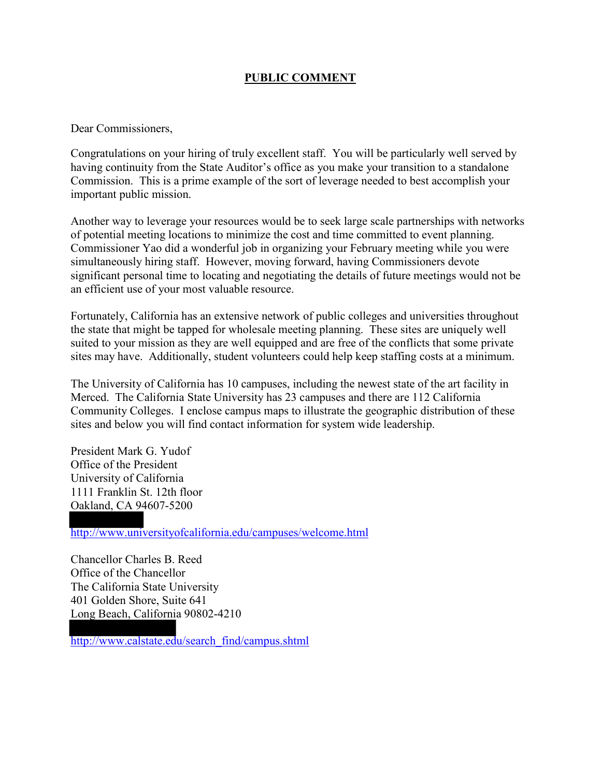## **PUBLIC COMMENT**

Dear Commissioners,

Congratulations on your hiring of truly excellent staff. You will be particularly well served by having continuity from the State Auditor's office as you make your transition to a standalone Commission. This is a prime example of the sort of leverage needed to best accomplish your important public mission.

Another way to leverage your resources would be to seek large scale partnerships with networks of potential meeting locations to minimize the cost and time committed to event planning. Commissioner Yao did a wonderful job in organizing your February meeting while you were simultaneously hiring staff. However, moving forward, having Commissioners devote significant personal time to locating and negotiating the details of future meetings would not be an efficient use of your most valuable resource.

Fortunately, California has an extensive network of public colleges and universities throughout the state that might be tapped for wholesale meeting planning. These sites are uniquely well suited to your mission as they are well equipped and are free of the conflicts that some private sites may have. Additionally, student volunteers could help keep staffing costs at a minimum.

The University of California has 10 campuses, including the newest state of the art facility in Merced. The California State University has 23 campuses and there are 112 California Community Colleges. I enclose campus maps to illustrate the geographic distribution of these sites and below you will find contact information for system wide leadership.

President Mark G. Yudof Office of the President University of California 1111 Franklin St. 12th floor Oakland, CA 94607-5200

http://www.universityofcalifornia.edu/campuses/welcome.html

Chancellor Charles B. Reed Office of the Chancellor The California State University 401 Golden Shore, Suite 641 Long Beach, California 90802-4210

http://www.calstate.edu/search\_find/campus.shtml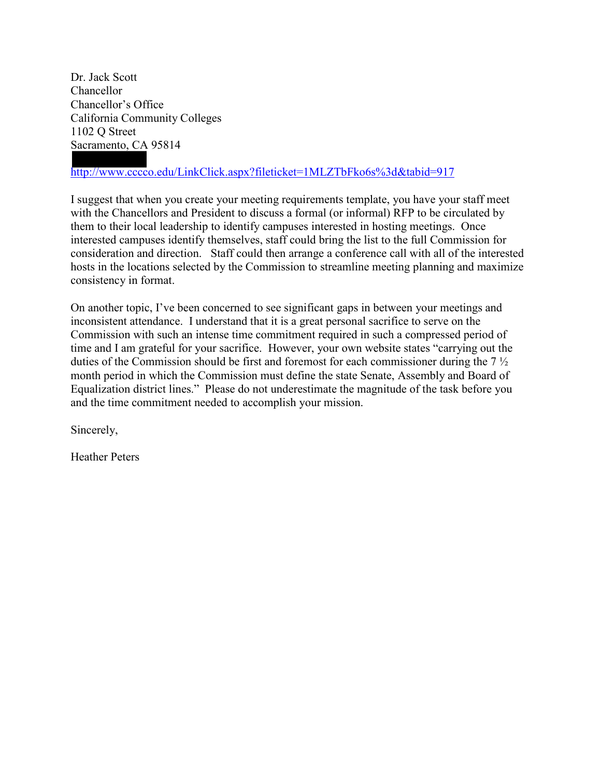Dr. Jack Scott Chancellor Chancellor's Office California Community Colleges 1102 Q Street Sacramento, CA 95814

# http://www.cccco.edu/LinkClick.aspx?fileticket=1MLZTbFko6s%3d&tabid=917

I suggest that when you create your meeting requirements template, you have your staff meet with the Chancellors and President to discuss a formal (or informal) RFP to be circulated by them to their local leadership to identify campuses interested in hosting meetings. Once interested campuses identify themselves, staff could bring the list to the full Commission for consideration and direction. Staff could then arrange a conference call with all of the interested hosts in the locations selected by the Commission to streamline meeting planning and maximize consistency in format.

On another topic, I've been concerned to see significant gaps in between your meetings and inconsistent attendance. I understand that it is a great personal sacrifice to serve on the Commission with such an intense time commitment required in such a compressed period of time and I am grateful for your sacrifice. However, your own website states "carrying out the duties of the Commission should be first and foremost for each commissioner during the 7 ½ month period in which the Commission must define the state Senate, Assembly and Board of Equalization district lines." Please do not underestimate the magnitude of the task before you and the time commitment needed to accomplish your mission.

Sincerely,

Heather Peters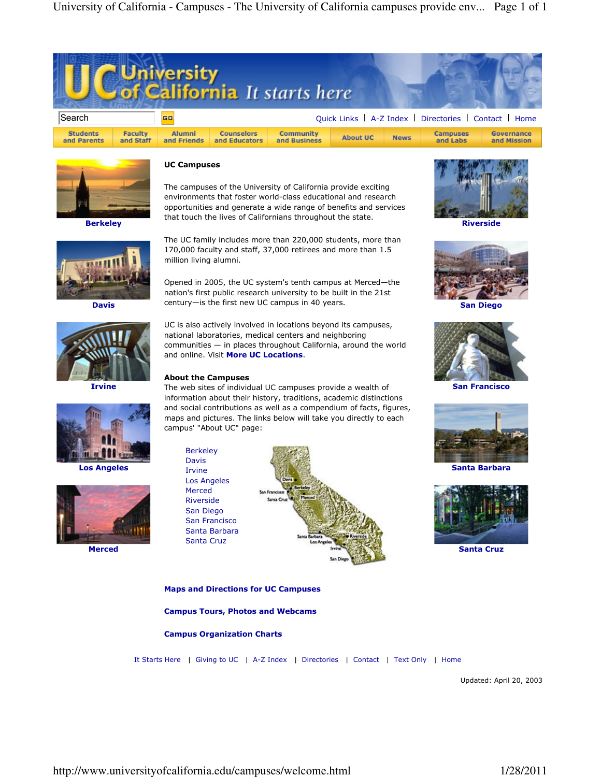



**Berkeley** 



Davis



Irvine



Los Angeles



Merced

### UC Campuses

The campuses of the University of California provide exciting environments that foster world-class educational and research opportunities and generate a wide range of benefits and services that touch the lives of Californians throughout the state.

The UC family includes more than 220,000 students, more than 170,000 faculty and staff, 37,000 retirees and more than 1.5 million living alumni.

Opened in 2005, the UC system's tenth campus at Merced—the nation's first public research university to be built in the 21st century—is the first new UC campus in 40 years.

UC is also actively involved in locations beyond its campuses, national laboratories, medical centers and neighboring communities — in places throughout California, around the world and online. Visit More UC Locations.

#### About the Campuses

The web sites of individual UC campuses provide a wealth of information about their history, traditions, academic distinctions and social contributions as well as a compendium of facts, figures, maps and pictures. The links below will take you directly to each campus' "About UC" page:



### Maps and Directions for UC Campuses

Campus Tours, Photos and Webcams

### Campus Organization Charts

It Starts Here | Giving to UC | A-Z Index | Directories | Contact | Text Only | Home

Updated: April 20, 2003



Riverside



San Francisco



Santa Barbara



Santa Cruz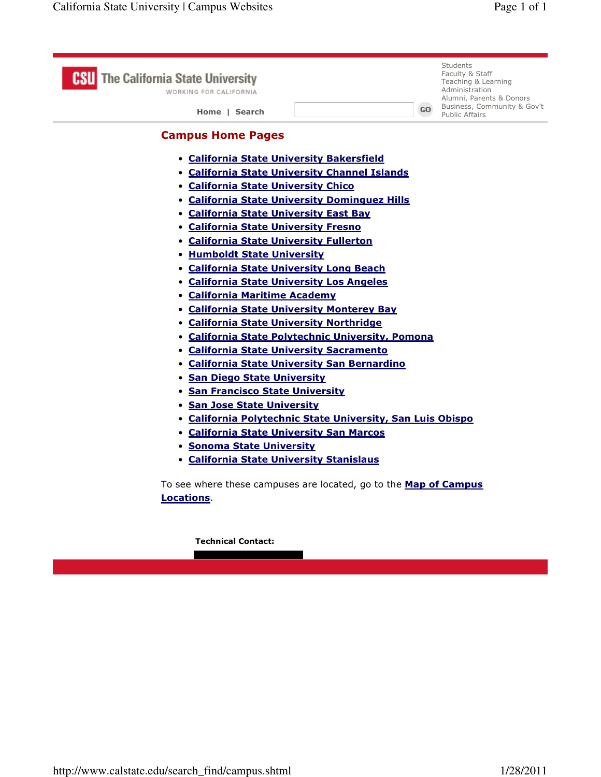| <b>The California State University</b><br>WORKING FOR CALIFORNIA<br>Home   Search                                                                                                                                                                                                                                                                                                                                                                                                                                                                                                                                                                                                                                                                                                                                                                                                                                                                                                                                                                                                                                                     | GO. | <b>Students</b><br>Faculty & Staff<br>Teaching & Learning<br>Administration<br>Alumni, Parents & Donors<br>Business, Community & Gov't<br><b>Public Affairs</b> |
|---------------------------------------------------------------------------------------------------------------------------------------------------------------------------------------------------------------------------------------------------------------------------------------------------------------------------------------------------------------------------------------------------------------------------------------------------------------------------------------------------------------------------------------------------------------------------------------------------------------------------------------------------------------------------------------------------------------------------------------------------------------------------------------------------------------------------------------------------------------------------------------------------------------------------------------------------------------------------------------------------------------------------------------------------------------------------------------------------------------------------------------|-----|-----------------------------------------------------------------------------------------------------------------------------------------------------------------|
| <b>Campus Home Pages</b><br>• California State University Bakersfield<br>• California State University Channel Islands<br><b>• California State University Chico</b><br>• California State University Dominguez Hills<br>• California State University East Bay<br>• California State University Fresno<br>• California State University Fullerton<br>• Humboldt State University<br>• California State University Long Beach<br>• California State University Los Angeles<br>• California Maritime Academy<br>• California State University Monterey Bay<br>• California State University Northridge<br>• California State Polytechnic University, Pomona<br>• California State University Sacramento<br>• California State University San Bernardino<br>· San Diego State University<br>• San Francisco State University<br>• San Jose State University<br>• California Polytechnic State University, San Luis Obispo<br>• California State University San Marcos<br>• Sonoma State University<br>• California State University Stanislaus<br>To see where these campuses are located, go to the <b>Map of Campus</b><br>Locations. |     |                                                                                                                                                                 |
| <b>Technical Contact:</b>                                                                                                                                                                                                                                                                                                                                                                                                                                                                                                                                                                                                                                                                                                                                                                                                                                                                                                                                                                                                                                                                                                             |     |                                                                                                                                                                 |

<u> 1989 - Johann Barbara, martxa eta politikar</u>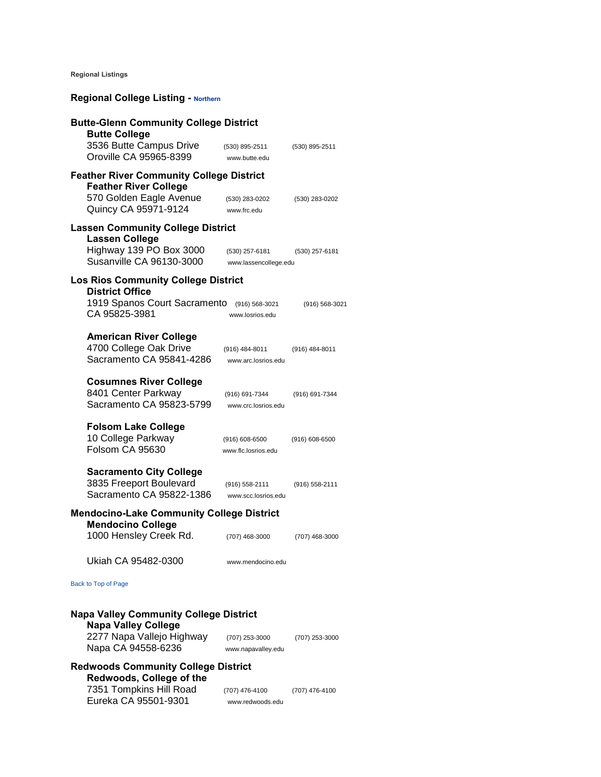**Regional Listings** 

# **Regional College Listing - Northern**

| <b>Butte-Glenn Community College District</b><br><b>Butte College</b>                 |                                           |                |  |
|---------------------------------------------------------------------------------------|-------------------------------------------|----------------|--|
| 3536 Butte Campus Drive<br>Oroville CA 95965-8399                                     | (530) 895-2511<br>www.butte.edu           | (530) 895-2511 |  |
| <b>Feather River Community College District</b><br><b>Feather River College</b>       |                                           |                |  |
| 570 Golden Eagle Avenue<br>Quincy CA 95971-9124                                       | (530) 283-0202<br>www.frc.edu             | (530) 283-0202 |  |
| <b>Lassen Community College District</b><br><b>Lassen College</b>                     |                                           |                |  |
| Highway 139 PO Box 3000<br>Susanville CA 96130-3000                                   | (530) 257-6181<br>www.lassencollege.edu   | (530) 257-6181 |  |
| <b>Los Rios Community College District</b><br><b>District Office</b>                  |                                           |                |  |
| 1919 Spanos Court Sacramento<br>CA 95825-3981                                         | (916) 568-3021<br>www.losrios.edu         | (916) 568-3021 |  |
| <b>American River College</b><br>4700 College Oak Drive<br>Sacramento CA 95841-4286   | (916) 484-8011<br>www.arc.losrios.edu     | (916) 484-8011 |  |
| <b>Cosumnes River College</b><br>8401 Center Parkway<br>Sacramento CA 95823-5799      | (916) 691-7344<br>www.crc.losrios.edu     | (916) 691-7344 |  |
| <b>Folsom Lake College</b><br>10 College Parkway<br>Folsom CA 95630                   | $(916) 608 - 6500$<br>www.flc.losrios.edu | (916) 608-6500 |  |
| <b>Sacramento City College</b><br>3835 Freeport Boulevard<br>Sacramento CA 95822-1386 | (916) 558-2111<br>www.scc.losrios.edu     | (916) 558-2111 |  |
| <b>Mendocino-Lake Community College District</b><br><b>Mendocino College</b>          |                                           |                |  |
| 1000 Hensley Creek Rd.                                                                | (707) 468-3000                            | (707) 468-3000 |  |
| Ukiah CA 95482-0300                                                                   | www.mendocino.edu                         |                |  |
| Back to Top of Page                                                                   |                                           |                |  |
| <b>Napa Valley Community College District</b><br><b>Napa Valley College</b>           |                                           |                |  |
| 2277 Napa Vallejo Highway<br>Napa CA 94558-6236                                       | (707) 253-3000<br>www.napavalley.edu      | (707) 253-3000 |  |
| <b>Redwoods Community College District</b><br>Redwoods, College of the                |                                           |                |  |
| 7351 Tompkins Hill Road<br>Eureka CA 95501-9301                                       | (707) 476-4100<br>www.redwoods.edu        | (707) 476-4100 |  |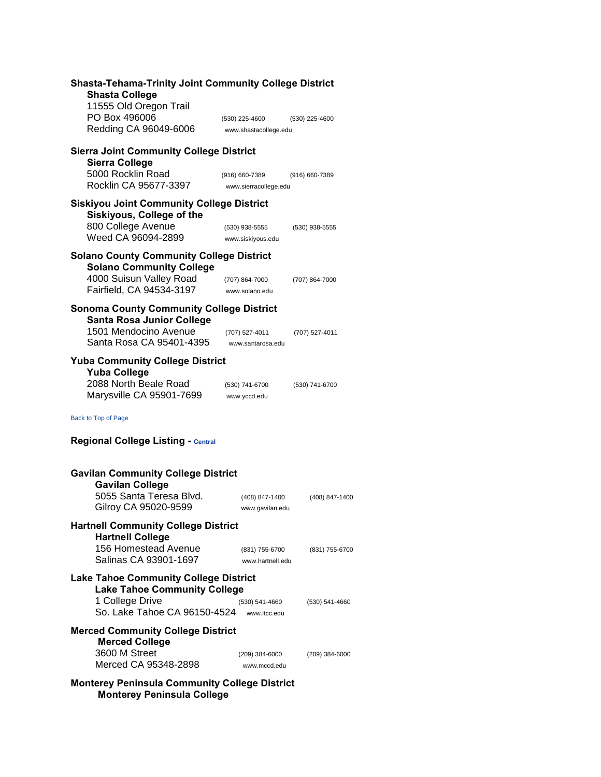| <b>Shasta-Tehama-Trinity Joint Community College District</b><br><b>Shasta College</b><br>11555 Old Oregon Trail |                                         |                |
|------------------------------------------------------------------------------------------------------------------|-----------------------------------------|----------------|
| PO Box 496006<br>Redding CA 96049-6006                                                                           | (530) 225-4600<br>www.shastacollege.edu | (530) 225-4600 |
| <b>Sierra Joint Community College District</b><br><b>Sierra College</b>                                          |                                         |                |
| 5000 Rocklin Road<br>Rocklin CA 95677-3397                                                                       | (916) 660-7389<br>www.sierracollege.edu | (916) 660-7389 |
| <b>Siskiyou Joint Community College District</b><br>Siskiyous, College of the                                    |                                         |                |
| 800 College Avenue<br>Weed CA 96094-2899                                                                         | (530) 938-5555<br>www.siskiyous.edu     | (530) 938-5555 |
| <b>Solano County Community College District</b><br><b>Solano Community College</b>                               |                                         |                |
| 4000 Suisun Valley Road<br>Fairfield, CA 94534-3197                                                              | (707) 864-7000<br>www.solano.edu        | (707) 864-7000 |
| <b>Sonoma County Community College District</b><br><b>Santa Rosa Junior College</b>                              |                                         |                |
| 1501 Mendocino Avenue<br>Santa Rosa CA 95401-4395                                                                | (707) 527-4011<br>www.santarosa.edu     | (707) 527-4011 |
| <b>Yuba Community College District</b><br><b>Yuba College</b>                                                    |                                         |                |
| 2088 North Beale Road<br>Marysville CA 95901-7699                                                                | (530) 741-6700<br>www.yccd.edu          | (530) 741-6700 |
| Back to Top of Page                                                                                              |                                         |                |
| <b>Regional College Listing - Central</b>                                                                        |                                         |                |
| <b>Gavilan Community College District</b><br><b>Gavilan College</b>                                              |                                         |                |
| 5055 Santa Teresa Blvd.<br>Gilroy CA 95020-9599                                                                  | (408) 847-1400<br>www.gavilan.edu       | (408) 847-1400 |
| <b>Hartnell Community College District</b><br><b>Hartnell College</b>                                            |                                         |                |
| 156 Homestead Avenue<br>Salinas CA 93901-1697                                                                    | (831) 755-6700<br>www.hartnell.edu      | (831) 755-6700 |
| <b>Lake Tahoe Community College District</b><br><b>Lake Tahoe Community College</b>                              |                                         |                |
| 1 College Drive<br>So. Lake Tahoe CA 96150-4524                                                                  | (530) 541-4660<br>www.ltcc.edu          | (530) 541-4660 |
| <b>Merced Community College District</b><br><b>Merced College</b>                                                |                                         |                |
| 3600 M Street<br>Merced CA 95348-2898                                                                            | (209) 384-6000<br>www.mccd.edu          | (209) 384-6000 |
| <b>Monterey Peninsula Community College District</b><br><b>Monterey Peninsula College</b>                        |                                         |                |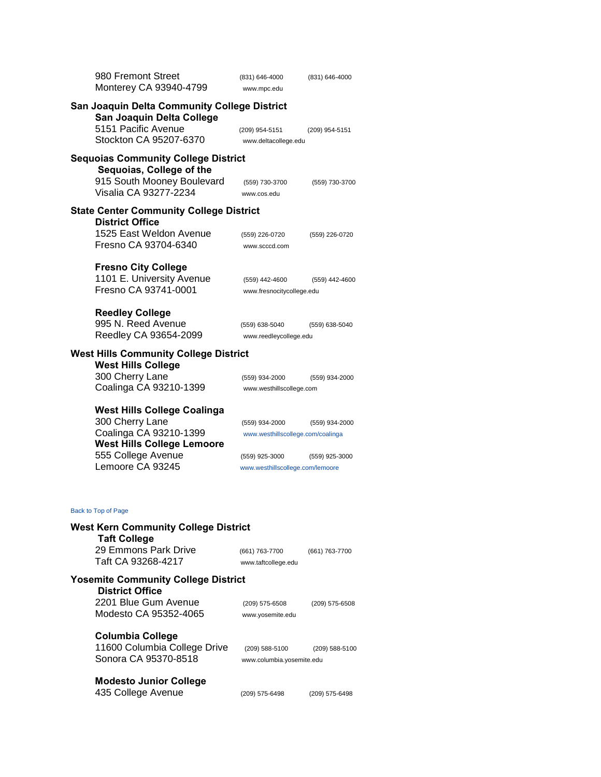| 980 Fremont Street                                                              | (831) 646-4000                              | (831) 646-4000 |
|---------------------------------------------------------------------------------|---------------------------------------------|----------------|
| Monterey CA 93940-4799                                                          | www.mpc.edu                                 |                |
| San Joaquin Delta Community College District<br>San Joaquin Delta College       |                                             |                |
| 5151 Pacific Avenue                                                             | (209) 954-5151                              | (209) 954-5151 |
| Stockton CA 95207-6370                                                          | www.deltacollege.edu                        |                |
| <b>Sequoias Community College District</b><br>Sequoias, College of the          |                                             |                |
| 915 South Mooney Boulevard                                                      | (559) 730-3700                              | (559) 730-3700 |
| Visalia CA 93277-2234                                                           | www.cos.edu                                 |                |
| <b>State Center Community College District</b><br><b>District Office</b>        |                                             |                |
| 1525 East Weldon Avenue                                                         | (559) 226-0720                              | (559) 226-0720 |
| Fresno CA 93704-6340                                                            | www.scccd.com                               |                |
| <b>Fresno City College</b><br>1101 E. University Avenue<br>Fresno CA 93741-0001 | (559) 442-4600<br>www.fresnocitycollege.edu | (559) 442-4600 |
| <b>Reedley College</b>                                                          |                                             |                |
| 995 N. Reed Avenue                                                              | (559) 638-5040                              | (559) 638-5040 |
| Reedley CA 93654-2099                                                           | www.reedleycollege.edu                      |                |
| <b>West Hills Community College District</b><br><b>West Hills College</b>       |                                             |                |
| 300 Cherry Lane                                                                 | (559) 934-2000                              | (559) 934-2000 |
| Coalinga CA 93210-1399                                                          | www.westhillscollege.com                    |                |
|                                                                                 |                                             |                |
| <b>West Hills College Coalinga</b>                                              |                                             |                |
| 300 Cherry Lane                                                                 | (559) 934-2000                              | (559) 934-2000 |
| Coalinga CA 93210-1399                                                          | www.westhillscollege.com/coalinga           |                |
| <b>West Hills College Lemoore</b>                                               |                                             |                |
| 555 College Avenue<br>Lemoore CA 93245                                          | (559) 925-3000                              | (559) 925-3000 |
|                                                                                 | www.westhillscollege.com/lemoore            |                |
| Back to Top of Page                                                             |                                             |                |
| <b>West Kern Community College District</b><br><b>Taft College</b>              |                                             |                |
| 29 Emmons Park Drive<br>Taft CA 93268-4217                                      | (661) 763-7700<br>www.taftcollege.edu       | (661) 763-7700 |
| <b>Yosemite Community College District</b><br><b>District Office</b>            |                                             |                |
| 2201 Blue Gum Avenue<br>Modesto CA 95352-4065                                   | $(209)$ 575-6508<br>www.yosemite.edu        | (209) 575-6508 |
| <b>Columbia College</b>                                                         |                                             |                |
| 11600 Columbia College Drive                                                    | (209) 588-5100                              | (209) 588-5100 |
| Sonora CA 95370-8518                                                            | www.columbia.yosemite.edu                   |                |
|                                                                                 |                                             |                |
| <b>Modesto Junior College</b>                                                   |                                             |                |
| 435 College Avenue                                                              | (209) 575-6498                              | (209) 575-6498 |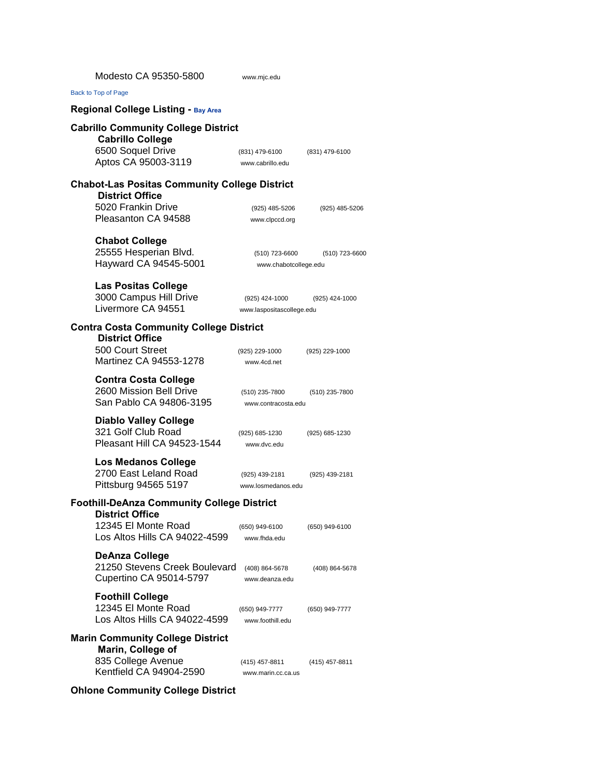| Modesto CA 95350-5800                                                                                             | www.mjc.edu                                 |                |
|-------------------------------------------------------------------------------------------------------------------|---------------------------------------------|----------------|
| Back to Top of Page                                                                                               |                                             |                |
| <b>Regional College Listing - Bay Area</b>                                                                        |                                             |                |
| <b>Cabrillo Community College District</b><br><b>Cabrillo College</b><br>6500 Soquel Drive<br>Aptos CA 95003-3119 | (831) 479-6100<br>www.cabrillo.edu          | (831) 479-6100 |
| <b>Chabot-Las Positas Community College District</b><br><b>District Office</b>                                    |                                             |                |
| 5020 Frankin Drive<br>Pleasanton CA 94588                                                                         | (925) 485-5206<br>www.clpccd.org            | (925) 485-5206 |
| <b>Chabot College</b><br>25555 Hesperian Blvd.<br>Hayward CA 94545-5001                                           | (510) 723-6600<br>www.chabotcollege.edu     | (510) 723-6600 |
| <b>Las Positas College</b><br>3000 Campus Hill Drive<br>Livermore CA 94551                                        | (925) 424-1000<br>www.laspositascollege.edu | (925) 424-1000 |
| <b>Contra Costa Community College District</b>                                                                    |                                             |                |
| <b>District Office</b><br>500 Court Street<br>Martinez CA 94553-1278                                              | (925) 229-1000<br>www.4cd.net               | (925) 229-1000 |
| <b>Contra Costa College</b><br>2600 Mission Bell Drive<br>San Pablo CA 94806-3195                                 | (510) 235-7800<br>www.contracosta.edu       | (510) 235-7800 |
| <b>Diablo Valley College</b><br>321 Golf Club Road<br>Pleasant Hill CA 94523-1544                                 | (925) 685-1230<br>www.dvc.edu               | (925) 685-1230 |
| <b>Los Medanos College</b><br>2700 East Leland Road<br>Pittsburg 94565 5197                                       | (925) 439-2181<br>www.losmedanos.edu        | (925) 439-2181 |
| <b>Foothill-DeAnza Community College District</b>                                                                 |                                             |                |
| <b>District Office</b><br>12345 El Monte Road<br>Los Altos Hills CA 94022-4599                                    | (650) 949-6100<br>www.fhda.edu              | (650) 949-6100 |
| <b>DeAnza College</b><br>21250 Stevens Creek Boulevard<br>Cupertino CA 95014-5797                                 | (408) 864-5678<br>www.deanza.edu            | (408) 864-5678 |
| <b>Foothill College</b><br>12345 El Monte Road<br>Los Altos Hills CA 94022-4599                                   | (650) 949-7777<br>www.foothill.edu          | (650) 949-7777 |
| <b>Marin Community College District</b>                                                                           |                                             |                |
| Marin, College of<br>835 College Avenue<br>Kentfield CA 94904-2590                                                | (415) 457-8811<br>www.marin.cc.ca.us        | (415) 457-8811 |

### **Ohlone Community College District**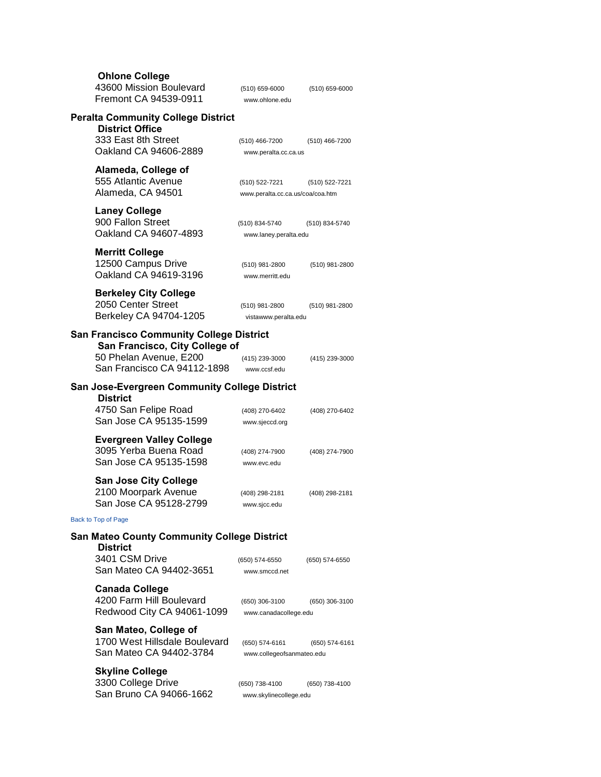| <b>Ohlone College</b><br>43600 Mission Boulevard<br>Fremont CA 94539-0911               | (510) 659-6000<br>www.ohlone.edu                   | $(510)$ 659-6000 |  |  |
|-----------------------------------------------------------------------------------------|----------------------------------------------------|------------------|--|--|
| <b>Peralta Community College District</b>                                               |                                                    |                  |  |  |
| <b>District Office</b><br>333 East 8th Street<br>Oakland CA 94606-2889                  | (510) 466-7200<br>www.peralta.cc.ca.us             | (510) 466-7200   |  |  |
| Alameda, College of<br>555 Atlantic Avenue<br>Alameda, CA 94501                         | (510) 522-7221<br>www.peralta.cc.ca.us/coa/coa.htm | (510) 522-7221   |  |  |
| <b>Laney College</b><br>900 Fallon Street<br>Oakland CA 94607-4893                      | (510) 834-5740<br>www.laney.peralta.edu            | (510) 834-5740   |  |  |
| <b>Merritt College</b><br>12500 Campus Drive<br>Oakland CA 94619-3196                   | (510) 981-2800<br>www.merritt.edu                  | (510) 981-2800   |  |  |
| <b>Berkeley City College</b><br>2050 Center Street<br>Berkeley CA 94704-1205            | (510) 981-2800<br>vistawww.peralta.edu             | (510) 981-2800   |  |  |
| <b>San Francisco Community College District</b>                                         |                                                    |                  |  |  |
| San Francisco, City College of<br>50 Phelan Avenue, E200<br>San Francisco CA 94112-1898 | (415) 239-3000<br>www.ccsf.edu                     | (415) 239-3000   |  |  |
| <b>San Jose-Evergreen Community College District</b>                                    |                                                    |                  |  |  |
| <b>District</b><br>4750 San Felipe Road<br>San Jose CA 95135-1599                       | (408) 270-6402<br>www.sjeccd.org                   | (408) 270-6402   |  |  |
| <b>Evergreen Valley College</b><br>3095 Yerba Buena Road<br>San Jose CA 95135-1598      | (408) 274-7900<br>www.evc.edu                      | (408) 274-7900   |  |  |
| <b>San Jose City College</b><br>2100 Moorpark Avenue<br>San Jose CA 95128-2799          | (408) 298-2181<br>www.sjcc.edu                     | (408) 298-2181   |  |  |
| Back to Top of Page                                                                     |                                                    |                  |  |  |
| <b>San Mateo County Community College District</b>                                      |                                                    |                  |  |  |
| <b>District</b><br>3401 CSM Drive<br>San Mateo CA 94402-3651                            | (650) 574-6550<br>www.smccd.net                    | (650) 574-6550   |  |  |
| <b>Canada College</b><br>4200 Farm Hill Boulevard<br>Redwood City CA 94061-1099         | (650) 306-3100<br>www.canadacollege.edu            | (650) 306-3100   |  |  |
| San Mateo, College of<br>1700 West Hillsdale Boulevard<br>San Mateo CA 94402-3784       | (650) 574-6161<br>www.collegeofsanmateo.edu        | (650) 574-6161   |  |  |
| <b>Skyline College</b><br>3300 College Drive<br>San Bruno CA 94066-1662                 | (650) 738-4100<br>www.skylinecollege.edu           | (650) 738-4100   |  |  |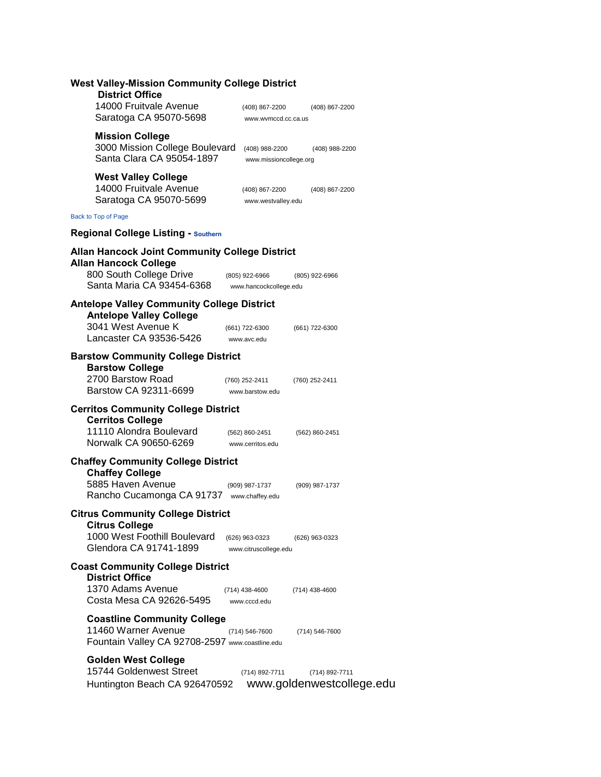| <b>West Valley-Mission Community College District</b><br><b>District Office</b>                              |                                                               |
|--------------------------------------------------------------------------------------------------------------|---------------------------------------------------------------|
| 14000 Fruitvale Avenue<br>Saratoga CA 95070-5698                                                             | (408) 867-2200<br>(408) 867-2200<br>www.wvmccd.cc.ca.us       |
| <b>Mission College</b><br>3000 Mission College Boulevard<br>Santa Clara CA 95054-1897                        | (408) 988-2200<br>(408) 988-2200<br>www.missioncollege.org    |
| <b>West Valley College</b><br>14000 Fruitvale Avenue<br>Saratoga CA 95070-5699                               | (408) 867-2200<br>(408) 867-2200<br>www.westvalley.edu        |
| Back to Top of Page                                                                                          |                                                               |
| <b>Regional College Listing - Southern</b>                                                                   |                                                               |
| <b>Allan Hancock Joint Community College District</b><br><b>Allan Hancock College</b>                        |                                                               |
| 800 South College Drive<br>Santa Maria CA 93454-6368                                                         | (805) 922-6966<br>(805) 922-6966<br>www.hancockcollege.edu    |
| <b>Antelope Valley Community College District</b><br><b>Antelope Valley College</b>                          |                                                               |
| 3041 West Avenue K<br>Lancaster CA 93536-5426                                                                | (661) 722-6300<br>(661) 722-6300<br>www.avc.edu               |
| <b>Barstow Community College District</b><br><b>Barstow College</b><br>2700 Barstow Road                     | (760) 252-2411<br>(760) 252-2411                              |
| Barstow CA 92311-6699                                                                                        | www.barstow.edu                                               |
| <b>Cerritos Community College District</b><br><b>Cerritos College</b><br>11110 Alondra Boulevard             | (562) 860-2451<br>(562) 860-2451                              |
| Norwalk CA 90650-6269                                                                                        | www.cerritos.edu                                              |
| <b>Chaffey Community College District</b><br><b>Chaffey College</b>                                          |                                                               |
| 5885 Haven Avenue<br>Rancho Cucamonga CA 91737                                                               | (909) 987-1737<br>(909) 987-1737<br>www.chaffey.edu           |
| <b>Citrus Community College District</b><br><b>Citrus College</b>                                            |                                                               |
| 1000 West Foothill Boulevard<br>Glendora CA 91741-1899                                                       | (626) 963-0323<br>(626) 963-0323<br>www.citruscollege.edu     |
| <b>Coast Community College District</b><br><b>District Office</b>                                            |                                                               |
| 1370 Adams Avenue<br>Costa Mesa CA 92626-5495                                                                | (714) 438-4600<br>(714) 438-4600<br>www.cccd.edu              |
| <b>Coastline Community College</b><br>11460 Warner Avenue<br>Fountain Valley CA 92708-2597 www.coastline.edu | (714) 546-7600<br>(714) 546-7600                              |
| <b>Golden West College</b><br>15744 Goldenwest Street<br>Huntington Beach CA 926470592                       | (714) 892-7711<br>(714) 892-7711<br>www.goldenwestcollege.edu |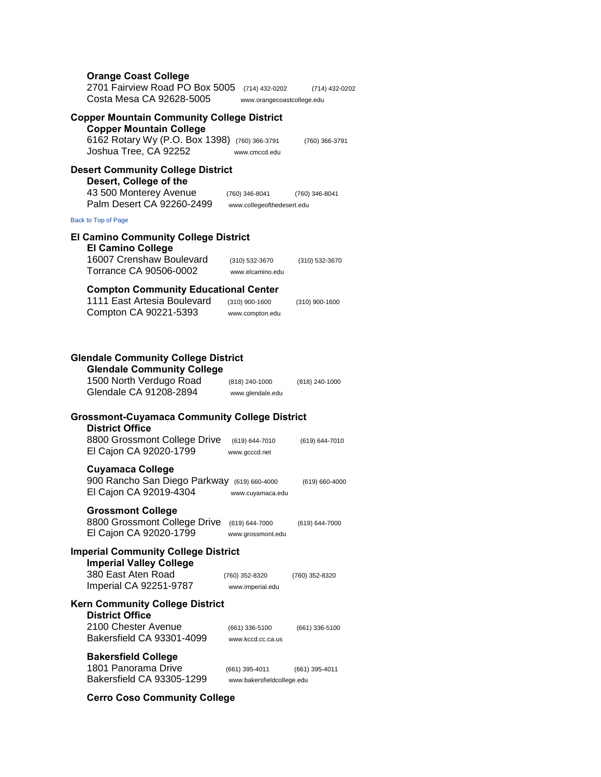| <b>Orange Coast College</b><br>2701 Fairview Road PO Box 5005<br>Costa Mesa CA 92628-5005                                                                     | (714) 432-0202<br>www.orangecoastcollege.edu          | (714) 432-0202     |
|---------------------------------------------------------------------------------------------------------------------------------------------------------------|-------------------------------------------------------|--------------------|
| <b>Copper Mountain Community College District</b><br><b>Copper Mountain College</b><br>6162 Rotary Wy (P.O. Box 1398) (760) 366-3791<br>Joshua Tree, CA 92252 | www.cmccd.edu                                         | (760) 366-3791     |
| <b>Desert Community College District</b><br>Desert, College of the<br>43 500 Monterey Avenue<br>Palm Desert CA 92260-2499                                     | (760) 346-8041<br>www.collegeofthedesert.edu          | (760) 346-8041     |
| Back to Top of Page                                                                                                                                           |                                                       |                    |
| <b>El Camino Community College District</b><br><b>El Camino College</b><br>16007 Crenshaw Boulevard                                                           | (310) 532-3670                                        | (310) 532-3670     |
| Torrance CA 90506-0002<br><b>Compton Community Educational Center</b><br>1111 East Artesia Boulevard<br>Compton CA 90221-5393                                 | www.elcamino.edu<br>(310) 900-1600<br>www.compton.edu | $(310)$ 900-1600   |
| <b>Glendale Community College District</b><br><b>Glendale Community College</b><br>1500 North Verdugo Road<br>Glendale CA 91208-2894                          | (818) 240-1000<br>www.glendale.edu                    | (818) 240-1000     |
| <b>Grossmont-Cuyamaca Community College District</b><br><b>District Office</b><br>8800 Grossmont College Drive<br>El Cajon CA 92020-1799                      | (619) 644-7010<br>www.gcccd.net                       | (619) 644-7010     |
| <b>Cuyamaca College</b><br>900 Rancho San Diego Parkway<br>El Cajon CA 92019-4304                                                                             | $(619) 660 - 4000$<br>www.cuyamaca.edu                | (619) 660-4000     |
| <b>Grossmont College</b><br>8800 Grossmont College Drive<br>El Cajon CA 92020-1799                                                                            | (619) 644-7000<br>www.grossmont.edu                   | $(619) 644 - 7000$ |
| <b>Imperial Community College District</b><br><b>Imperial Valley College</b><br>380 East Aten Road<br>Imperial CA 92251-9787                                  | (760) 352-8320<br>www.imperial.edu                    | (760) 352-8320     |
| <b>Kern Community College District</b><br><b>District Office</b><br>2100 Chester Avenue<br>Bakersfield CA 93301-4099                                          | (661) 336-5100<br>www.kccd.cc.ca.us                   | $(661)$ 336-5100   |
| <b>Bakersfield College</b><br>1801 Panorama Drive<br>Bakersfield CA 93305-1299                                                                                | (661) 395-4011<br>www.bakersfieldcollege.edu          | $(661)$ 395-4011   |

**Cerro Coso Community College**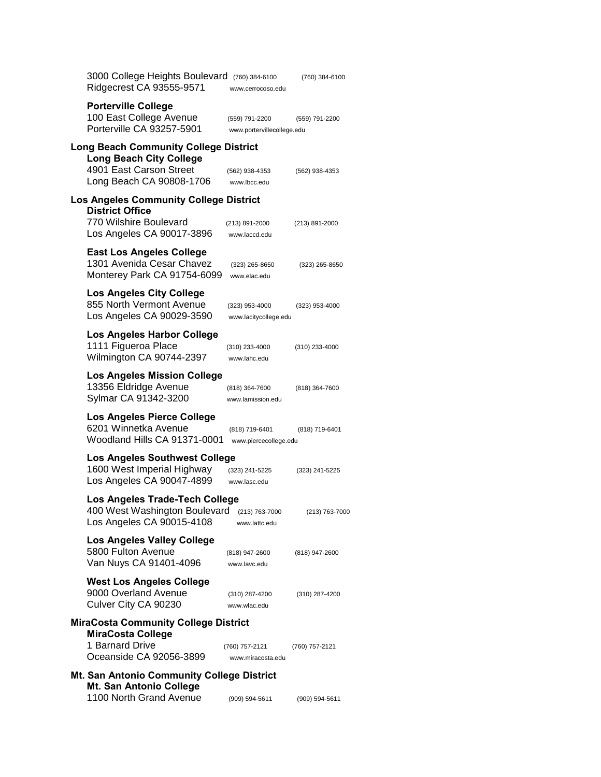| 3000 College Heights Boulevard (760) 384-6100<br>Ridgecrest CA 93555-9571                                   | www.cerrocoso.edu                            | (760) 384-6100 |
|-------------------------------------------------------------------------------------------------------------|----------------------------------------------|----------------|
| <b>Porterville College</b><br>100 East College Avenue<br>Porterville CA 93257-5901                          | (559) 791-2200<br>www.portervillecollege.edu | (559) 791-2200 |
| Long Beach Community College District<br><b>Long Beach City College</b>                                     |                                              |                |
| 4901 East Carson Street<br>Long Beach CA 90808-1706                                                         | (562) 938-4353<br>www.lbcc.edu               | (562) 938-4353 |
| Los Angeles Community College District<br><b>District Office</b>                                            |                                              |                |
| 770 Wilshire Boulevard<br>Los Angeles CA 90017-3896                                                         | (213) 891-2000<br>www.laccd.edu              | (213) 891-2000 |
| <b>East Los Angeles College</b><br>1301 Avenida Cesar Chavez<br>Monterey Park CA 91754-6099                 | (323) 265-8650<br>www.elac.edu               | (323) 265-8650 |
| <b>Los Angeles City College</b><br>855 North Vermont Avenue<br>Los Angeles CA 90029-3590                    | (323) 953-4000<br>www.lacitycollege.edu      | (323) 953-4000 |
| Los Angeles Harbor College<br>1111 Figueroa Place<br>Wilmington CA 90744-2397                               | (310) 233-4000<br>www.lahc.edu               | (310) 233-4000 |
| <b>Los Angeles Mission College</b><br>13356 Eldridge Avenue<br>Sylmar CA 91342-3200                         | (818) 364-7600<br>www.lamission.edu          | (818) 364-7600 |
| Los Angeles Pierce College<br>6201 Winnetka Avenue<br>Woodland Hills CA 91371-0001                          | (818) 719-6401<br>www.piercecollege.edu      | (818) 719-6401 |
| <b>Los Angeles Southwest College</b><br>1600 West Imperial Highway<br>Los Angeles CA 90047-4899             | (323) 241-5225<br>www.lasc.edu               | (323) 241-5225 |
| Los Angeles Trade-Tech College<br>400 West Washington Boulevard (213) 763-7000<br>Los Angeles CA 90015-4108 | www.lattc.edu                                | (213) 763-7000 |
| <b>Los Angeles Valley College</b><br>5800 Fulton Avenue<br>Van Nuys CA 91401-4096                           | (818) 947-2600<br>www.lavc.edu               | (818) 947-2600 |
| <b>West Los Angeles College</b><br>9000 Overland Avenue<br>Culver City CA 90230                             | (310) 287-4200<br>www.wlac.edu               | (310) 287-4200 |
| <b>MiraCosta Community College District</b><br><b>MiraCosta College</b>                                     |                                              |                |
| 1 Barnard Drive<br>Oceanside CA 92056-3899                                                                  | (760) 757-2121<br>www.miracosta.edu          | (760) 757-2121 |
| Mt. San Antonio Community College District<br>Mt. San Antonio College                                       |                                              |                |
| 1100 North Grand Avenue                                                                                     | (909) 594-5611                               | (909) 594-5611 |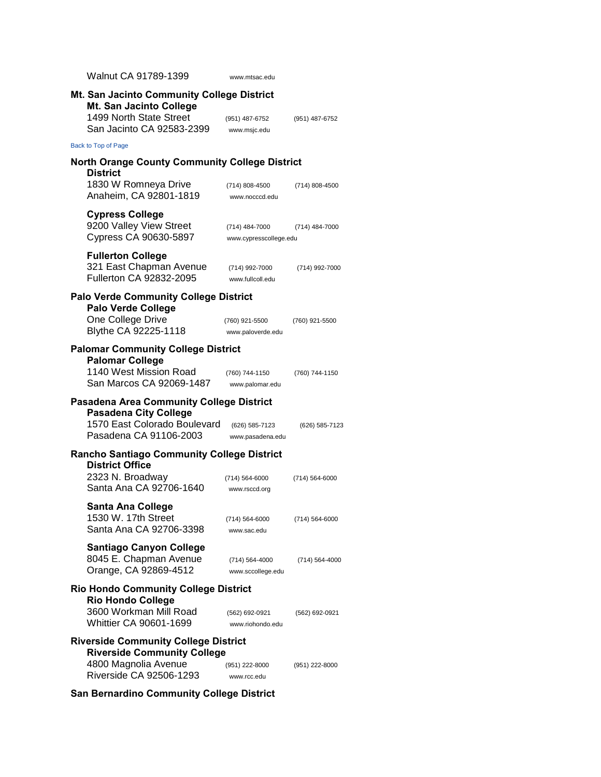| Walnut CA 91789-1399                                                                                                                      | www.mtsac.edu                            |                |
|-------------------------------------------------------------------------------------------------------------------------------------------|------------------------------------------|----------------|
| Mt. San Jacinto Community College District<br>Mt. San Jacinto College<br>1499 North State Street<br>San Jacinto CA 92583-2399             | (951) 487-6752<br>www.msjc.edu           | (951) 487-6752 |
| Back to Top of Page                                                                                                                       |                                          |                |
| <b>North Orange County Community College District</b>                                                                                     |                                          |                |
| <b>District</b><br>1830 W Romneya Drive<br>Anaheim, CA 92801-1819                                                                         | (714) 808-4500<br>www.nocccd.edu         | (714) 808-4500 |
| <b>Cypress College</b><br>9200 Valley View Street<br>Cypress CA 90630-5897                                                                | (714) 484-7000<br>www.cypresscollege.edu | (714) 484-7000 |
| <b>Fullerton College</b><br>321 East Chapman Avenue<br><b>Fullerton CA 92832-2095</b>                                                     | (714) 992-7000<br>www.fullcoll.edu       | (714) 992-7000 |
| <b>Palo Verde Community College District</b><br><b>Palo Verde College</b>                                                                 |                                          |                |
| One College Drive<br>Blythe CA 92225-1118                                                                                                 | (760) 921-5500<br>www.paloverde.edu      | (760) 921-5500 |
| <b>Palomar Community College District</b>                                                                                                 |                                          |                |
| <b>Palomar College</b><br>1140 West Mission Road<br>San Marcos CA 92069-1487                                                              | (760) 744-1150<br>www.palomar.edu        | (760) 744-1150 |
| <b>Pasadena Area Community College District</b><br><b>Pasadena City College</b><br>1570 East Colorado Boulevard<br>Pasadena CA 91106-2003 | (626) 585-7123<br>www.pasadena.edu       | (626) 585-7123 |
| <b>Rancho Santiago Community College District</b>                                                                                         |                                          |                |
| <b>District Office</b><br>2323 N. Broadway<br>Santa Ana CA 92706-1640                                                                     | (714) 564-6000<br>www.rsccd.org          | (714) 564-6000 |
| <b>Santa Ana College</b><br>1530 W. 17th Street<br>Santa Ana CA 92706-3398                                                                | (714) 564-6000<br>www.sac.edu            | (714) 564-6000 |
| <b>Santiago Canyon College</b><br>8045 E. Chapman Avenue<br>Orange, CA 92869-4512                                                         | (714) 564-4000<br>www.sccollege.edu      | (714) 564-4000 |
| <b>Rio Hondo Community College District</b>                                                                                               |                                          |                |
| <b>Rio Hondo College</b><br>3600 Workman Mill Road<br>Whittier CA 90601-1699                                                              | (562) 692-0921<br>www.riohondo.edu       | (562) 692-0921 |
| <b>Riverside Community College District</b><br><b>Riverside Community College</b><br>4800 Magnolia Avenue<br>Riverside CA 92506-1293      | (951) 222-8000<br>www.rcc.edu            | (951) 222-8000 |

**San Bernardino Community College District**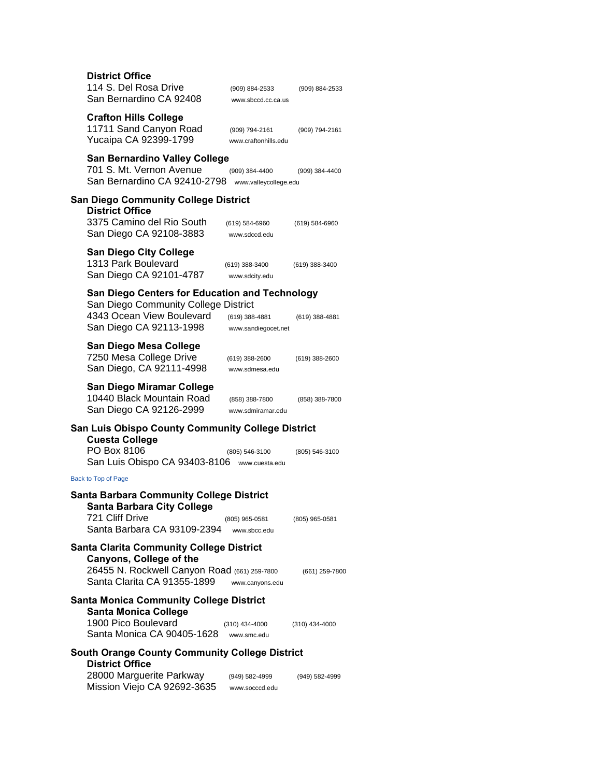| <b>District Office</b><br>114 S. Del Rosa Drive<br>San Bernardino CA 92408                                    | (909) 884-2533<br>www.sbccd.cc.ca.us    | (909) 884-2533   |
|---------------------------------------------------------------------------------------------------------------|-----------------------------------------|------------------|
| <b>Crafton Hills College</b><br>11711 Sand Canyon Road<br>Yucaipa CA 92399-1799                               | (909) 794-2161<br>www.craftonhills.edu  | (909) 794-2161   |
| San Bernardino Valley College<br>701 S. Mt. Vernon Avenue<br>San Bernardino CA 92410-2798                     | (909) 384-4400<br>www.valleycollege.edu | (909) 384-4400   |
| San Diego Community College District                                                                          |                                         |                  |
| <b>District Office</b><br>3375 Camino del Rio South<br>San Diego CA 92108-3883                                | (619) 584-6960<br>www.sdccd.edu         | (619) 584-6960   |
| <b>San Diego City College</b><br>1313 Park Boulevard<br>San Diego CA 92101-4787                               | (619) 388-3400<br>www.sdcity.edu        | (619) 388-3400   |
| <b>San Diego Centers for Education and Technology</b>                                                         |                                         |                  |
| San Diego Community College District<br>4343 Ocean View Boulevard                                             | (619) 388-4881                          | (619) 388-4881   |
| San Diego CA 92113-1998                                                                                       | www.sandiegocet.net                     |                  |
| San Diego Mesa College<br>7250 Mesa College Drive<br>San Diego, CA 92111-4998                                 | (619) 388-2600<br>www.sdmesa.edu        | $(619)$ 388-2600 |
| <b>San Diego Miramar College</b><br>10440 Black Mountain Road<br>San Diego CA 92126-2999                      | (858) 388-7800<br>www.sdmiramar.edu     | (858) 388-7800   |
| San Luis Obispo County Community College District<br><b>Cuesta College</b><br>PO Box 8106                     | (805) 546-3100                          | (805) 546-3100   |
| San Luis Obispo CA 93403-8106                                                                                 | www.cuesta.edu                          |                  |
| Back to Top of Page                                                                                           |                                         |                  |
| <b>Santa Barbara Community College District</b><br><b>Santa Barbara City College</b>                          |                                         |                  |
| 721 Cliff Drive<br>Santa Barbara CA 93109-2394                                                                | (805) 965-0581<br>www.sbcc.edu          | $(805)$ 965-0581 |
| <b>Santa Clarita Community College District</b>                                                               |                                         |                  |
| <b>Canyons, College of the</b><br>26455 N. Rockwell Canyon Road (661) 259-7800<br>Santa Clarita CA 91355-1899 | www.canyons.edu                         | (661) 259-7800   |
| <b>Santa Monica Community College District</b>                                                                |                                         |                  |
| <b>Santa Monica College</b><br>1900 Pico Boulevard<br>Santa Monica CA 90405-1628                              | $(310)$ 434-4000<br>www.smc.edu         | $(310)$ 434-4000 |
| <b>South Orange County Community College District</b>                                                         |                                         |                  |
| <b>District Office</b><br>28000 Marguerite Parkway<br>Mission Viejo CA 92692-3635                             | (949) 582-4999<br>www.socccd.edu        | (949) 582-4999   |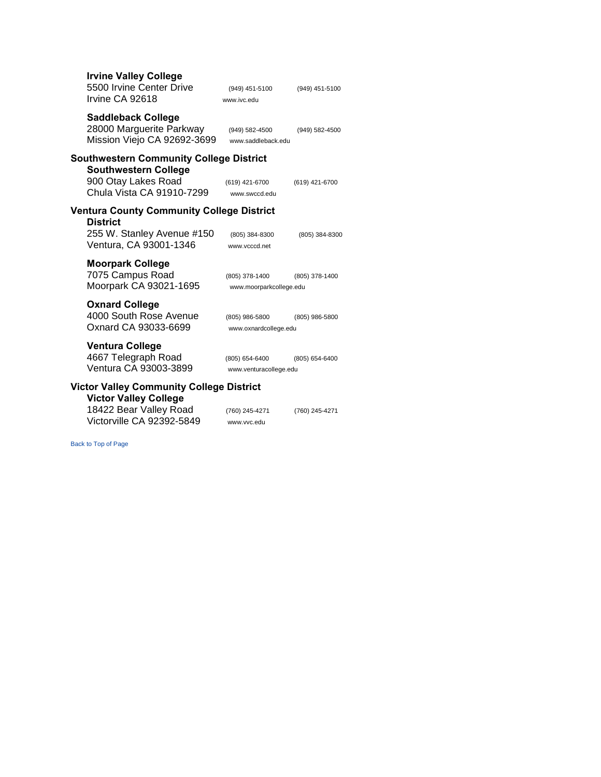| <b>Irvine Valley College</b><br>5500 Irvine Center Drive<br>Irvine CA 92618                                                       | (949) 451-5100<br>www.ivc.edu             | (949) 451-5100 |
|-----------------------------------------------------------------------------------------------------------------------------------|-------------------------------------------|----------------|
| <b>Saddleback College</b><br>28000 Marguerite Parkway<br>Mission Viejo CA 92692-3699                                              | (949) 582-4500<br>www.saddleback.edu      | (949) 582-4500 |
| <b>Southwestern Community College District</b><br><b>Southwestern College</b><br>900 Otay Lakes Road<br>Chula Vista CA 91910-7299 | (619) 421-6700<br>www.swccd.edu           | (619) 421-6700 |
| <b>Ventura County Community College District</b><br><b>District</b><br>255 W. Stanley Avenue #150<br>Ventura, CA 93001-1346       | (805) 384-8300<br>www.vcccd.net           | (805) 384-8300 |
| <b>Moorpark College</b><br>7075 Campus Road<br>Moorpark CA 93021-1695                                                             | (805) 378-1400<br>www.moorparkcollege.edu | (805) 378-1400 |
| <b>Oxnard College</b><br>4000 South Rose Avenue<br>Oxnard CA 93033-6699                                                           | (805) 986-5800<br>www.oxnardcollege.edu   | (805) 986-5800 |
| <b>Ventura College</b><br>4667 Telegraph Road<br>Ventura CA 93003-3899                                                            | (805) 654-6400<br>www.venturacollege.edu  | (805) 654-6400 |
| <b>Victor Valley Community College District</b><br><b>Victor Valley College</b><br>18422 Bear Valley Road                         | (760) 245-4271                            | (760) 245-4271 |
| Victorville CA 92392-5849                                                                                                         | www.vvc.edu                               |                |

[Back to Top of Page](http://cccco.edu/CommunityColleges/CommunityCollegeListings/CollegeListingsRegional/tabid/829/Default.aspx#top)